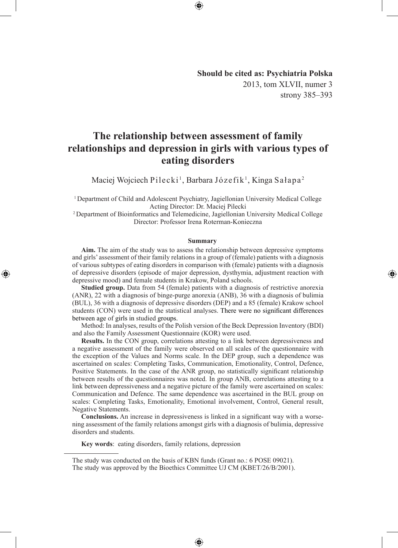**Should be cited as: Psychiatria Polska** 2013, tom XLVII, numer 3 strony 385–393

◈

# **The relationship between assessment of family relationships and depression in girls with various types of eating disorders**

Maciej Wojciech Pilecki<sup>1</sup>, Barbara Józefik<sup>1</sup>, Kinga Sałapa<sup>2</sup>

<sup>1</sup>Department of Child and Adolescent Psychiatry, Jagiellonian University Medical College Acting Director: Dr. Maciej Pilecki

<sup>2</sup> Department of Bioinformatics and Telemedicine, Jagiellonian University Medical College Director: Professor Irena Roterman-Konieczna

#### **Summary**

**Aim.** The aim of the study was to assess the relationship between depressive symptoms and girls' assessment of their family relations in a group of (female) patients with a diagnosis of various subtypes of eating disorders in comparison with (female) patients with a diagnosis of depressive disorders (episode of major depression, dysthymia, adjustment reaction with depressive mood) and female students in Krakow, Poland schools.

**Studied group.** Data from 54 (female) patients with a diagnosis of restrictive anorexia (ANR), 22 with a diagnosis of binge-purge anorexia (ANB), 36 with a diagnosis of bulimia (BUL), 36 with a diagnosis of depressive disorders (DEP) and a 85 (female) Krakow school students (CON) were used in the statistical analyses. There were no significant differences between age of girls in studied groups.

Method: In analyses, results of the Polish version of the Beck Depression Inventory (BDI) and also the Family Assessment Questionnaire (KOR) were used.

**Results.** In the CON group, correlations attesting to a link between depressiveness and a negative assessment of the family were observed on all scales of the questionnaire with the exception of the Values and Norms scale. In the DEP group, such a dependence was ascertained on scales: Completing Tasks, Communication, Emotionality, Control, Defence, Positive Statements. In the case of the ANR group, no statistically significant relationship between results of the questionnaires was noted. In group ANB, correlations attesting to a link between depressiveness and a negative picture of the family were ascertained on scales: Communication and Defence. The same dependence was ascertained in the BUL group on scales: Completing Tasks, Emotionality, Emotional involvement, Control, General result, Negative Statements.

**Conclusions.** An increase in depressiveness is linked in a significant way with a worsening assessment of the family relations amongst girls with a diagnosis of bulimia, depressive disorders and students.

⊕

**Key words**: eating disorders, family relations, depression

◈

The study was conducted on the basis of KBN funds (Grant no.: 6 POSE 09021). The study was approved by the Bioethics Committee UJ CM (KBET/26/B/2001).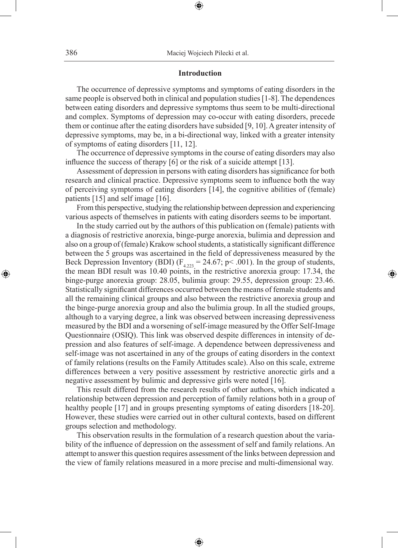## **Introduction**

⊕

The occurrence of depressive symptoms and symptoms of eating disorders in the same people is observed both in clinical and population studies [1-8]. The dependences between eating disorders and depressive symptoms thus seem to be multi-directional and complex. Symptoms of depression may co-occur with eating disorders, precede them or continue after the eating disorders have subsided [9, 10]. A greater intensity of depressive symptoms, may be, in a bi-directional way, linked with a greater intensity of symptoms of eating disorders [11, 12].

The occurrence of depressive symptoms in the course of eating disorders may also influence the success of therapy [6] or the risk of a suicide attempt [13].

Assessment of depression in persons with eating disorders has significance for both research and clinical practice. Depressive symptoms seem to influence both the way of perceiving symptoms of eating disorders [14], the cognitive abilities of (female) patients [15] and self image [16].

From this perspective, studying the relationship between depression and experiencing various aspects of themselves in patients with eating disorders seems to be important.

In the study carried out by the authors of this publication on (female) patients with a diagnosis of restrictive anorexia, binge-purge anorexia, bulimia and depression and also on a group of (female) Krakow school students, a statistically significant difference between the 5 groups was ascertained in the field of depressiveness measured by the Beck Depression Inventory (BDI) ( $F_{4,223}$  = 24.67; p < .001). In the group of students, the mean BDI result was 10.40 points, in the restrictive anorexia group: 17.34, the binge-purge anorexia group: 28.05, bulimia group: 29.55, depression group: 23.46. Statistically significant differences occurred between the means of female students and all the remaining clinical groups and also between the restrictive anorexia group and the binge-purge anorexia group and also the bulimia group. In all the studied groups, although to a varying degree, a link was observed between increasing depressiveness measured by the BDI and a worsening of self-image measured by the Offer Self-Image Questionnaire (OSIQ). This link was observed despite differences in intensity of depression and also features of self-image. A dependence between depressiveness and self-image was not ascertained in any of the groups of eating disorders in the context of family relations (results on the Family Attitudes scale). Also on this scale, extreme differences between a very positive assessment by restrictive anorectic girls and a negative assessment by bulimic and depressive girls were noted [16].

◈

This result differed from the research results of other authors, which indicated a relationship between depression and perception of family relations both in a group of healthy people [17] and in groups presenting symptoms of eating disorders [18-20]. However, these studies were carried out in other cultural contexts, based on different groups selection and methodology.

This observation results in the formulation of a research question about the variability of the influence of depression on the assessment of self and family relations. An attempt to answer this question requires assessment of the links between depression and the view of family relations measured in a more precise and multi-dimensional way.

⊕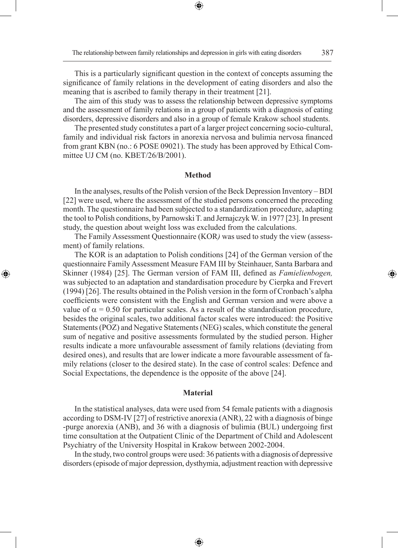◈

This is a particularly significant question in the context of concepts assuming the significance of family relations in the development of eating disorders and also the meaning that is ascribed to family therapy in their treatment [21].

⊕

The aim of this study was to assess the relationship between depressive symptoms and the assessment of family relations in a group of patients with a diagnosis of eating disorders, depressive disorders and also in a group of female Krakow school students.

The presented study constitutes a part of a larger project concerning socio-cultural, family and individual risk factors in anorexia nervosa and bulimia nervosa financed from grant KBN (no.: 6 POSE 09021). The study has been approved by Ethical Committee UJ CM (no. KBET/26/B/2001).

#### **Method**

In the analyses, results of the Polish version of the Beck Depression Inventory – BDI [22] were used, where the assessment of the studied persons concerned the preceding month. The questionnaire had been subjected to a standardization procedure, adapting the tool to Polish conditions, by Parnowski T. and Jernajczyk W. in 1977 [23]. In present study, the question about weight loss was excluded from the calculations.

The Family Assessment Questionnaire (KOR*)* was used to study the view (assessment) of family relations.

◈

The KOR is an adaptation to Polish conditions [24] of the German version of the questionnaire Family Assessment Measure FAM III by Steinhauer, Santa Barbara and Skinner (1984) [25]. The German version of FAM III, defined as *Famielienbogen,* was subjected to an adaptation and standardisation procedure by Cierpka and Frevert (1994) [26]. The results obtained in the Polish version in the form of Cronbach's alpha coefficients were consistent with the English and German version and were above a value of  $\alpha = 0.50$  for particular scales. As a result of the standardisation procedure, besides the original scales, two additional factor scales were introduced: the Positive Statements (POZ) and Negative Statements (NEG) scales, which constitute the general sum of negative and positive assessments formulated by the studied person. Higher results indicate a more unfavourable assessment of family relations (deviating from desired ones), and results that are lower indicate a more favourable assessment of family relations (closer to the desired state). In the case of control scales: Defence and Social Expectations, the dependence is the opposite of the above [24].

#### **Material**

In the statistical analyses, data were used from 54 female patients with a diagnosis according to DSM-IV [27] of restrictive anorexia (ANR), 22 with a diagnosis of binge -purge anorexia (ANB), and 36 with a diagnosis of bulimia (BUL) undergoing first time consultation at the Outpatient Clinic of the Department of Child and Adolescent Psychiatry of the University Hospital in Krakow between 2002-2004.

In the study, two control groups were used: 36 patients with a diagnosis of depressive disorders (episode of major depression, dysthymia, adjustment reaction with depressive

⊕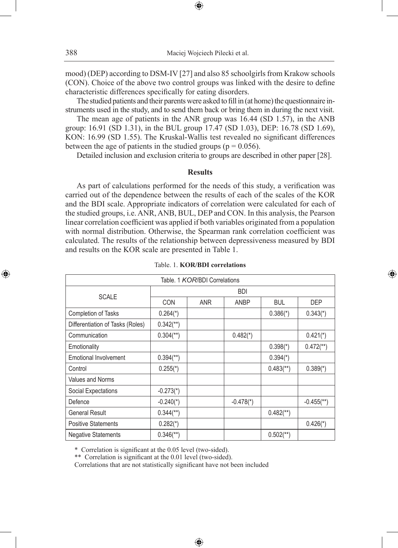mood) (DEP) according to DSM-IV [27] and also 85 schoolgirls from Krakow schools (CON). Choice of the above two control groups was linked with the desire to define characteristic differences specifically for eating disorders.

⊕

The studied patients and their parents were asked to fill in (at home) the questionnaire instruments used in the study, and to send them back or bring them in during the next visit.

The mean age of patients in the ANR group was 16.44 (SD 1.57), in the ANB group: 16.91 (SD 1.31), in the BUL group 17.47 (SD 1.03), DEP: 16.78 (SD 1.69), KON: 16.99 (SD 1.55). The Kruskal-Wallis test revealed no significant differences between the age of patients in the studied groups ( $p = 0.056$ ).

Detailed inclusion and exclusion criteria to groups are described in other paper [28].

#### **Results**

As part of calculations performed for the needs of this study, a verification was carried out of the dependence between the results of each of the scales of the KOR and the BDI scale. Appropriate indicators of correlation were calculated for each of the studied groups, i.e. ANR, ANB, BUL, DEP and CON. In this analysis, the Pearson linear correlation coefficient was applied if both variables originated from a population with normal distribution. Otherwise, the Spearman rank correlation coefficient was calculated. The results of the relationship between depressiveness measured by BDI and results on the KOR scale are presented in Table 1.

| Table, 1 KOR/BDI Correlations    |                         |     |                         |                         |                          |  |  |  |
|----------------------------------|-------------------------|-----|-------------------------|-------------------------|--------------------------|--|--|--|
| <b>SCALE</b>                     | <b>BDI</b>              |     |                         |                         |                          |  |  |  |
|                                  | CON                     | ANR | ANBP                    | <b>BUL</b>              | <b>DEP</b>               |  |  |  |
| <b>Completion of Tasks</b>       | $0.264$ <sup>*</sup> )  |     |                         | $0.386(*)$              | $0.343(*)$               |  |  |  |
| Differentiation of Tasks (Roles) | $0.342$ <sup>**</sup> ) |     |                         |                         |                          |  |  |  |
| Communication                    | $0.304$ <sup>**</sup> ) |     | $0.482$ <sup>*</sup> )  |                         | $0.421$ <sup>*</sup> )   |  |  |  |
| Emotionality                     |                         |     |                         | $0.398(*)$              | $0.472$ <sup>**</sup> )  |  |  |  |
| Emotional Involvement            | $0.394$ <sup>**</sup> ) |     |                         | $0.394(*)$              |                          |  |  |  |
| Control                          | $0.255(*)$              |     |                         | $0.483$ <sup>**</sup> ) | $0.389(*)$               |  |  |  |
| <b>Values and Norms</b>          |                         |     |                         |                         |                          |  |  |  |
| Social Expectations              | $-0.273(*)$             |     |                         |                         |                          |  |  |  |
| Defence                          | $-0.240(*)$             |     | $-0.478$ <sup>*</sup> ) |                         | $-0.455$ <sup>**</sup> ) |  |  |  |
| <b>General Result</b>            | $0.344$ <sup>**</sup> ) |     |                         | $0.482$ <sup>**</sup> ) |                          |  |  |  |
| <b>Positive Statements</b>       | $0.282(*)$              |     |                         |                         | $0.426(*)$               |  |  |  |
| <b>Negative Statements</b>       | $0.346$ <sup>**</sup> ) |     |                         | $0.502$ <sup>**</sup> ) |                          |  |  |  |

⊕

|  |  | Table, 1. <b>KOR/BDI</b> correlations |
|--|--|---------------------------------------|
|  |  |                                       |

◈

\* Correlation is significant at the 0.05 level (two-sided).

\*\* Correlation is significant at the 0.01 level (two-sided).

Correlations that are not statistically significant have not been included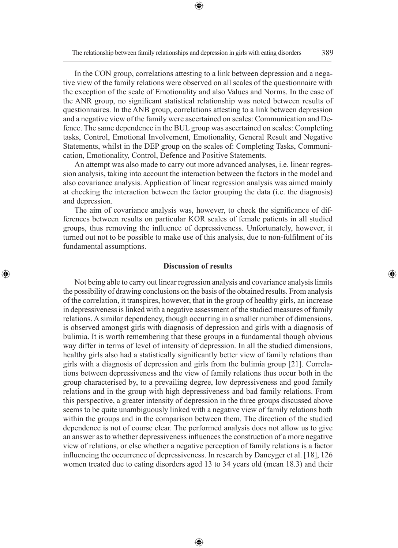⊕

In the CON group, correlations attesting to a link between depression and a negative view of the family relations were observed on all scales of the questionnaire with the exception of the scale of Emotionality and also Values and Norms. In the case of the ANR group, no significant statistical relationship was noted between results of questionnaires. In the ANB group, correlations attesting to a link between depression and a negative view of the family were ascertained on scales: Communication and Defence. The same dependence in the BUL group was ascertained on scales: Completing tasks, Control, Emotional Involvement, Emotionality, General Result and Negative Statements, whilst in the DEP group on the scales of: Completing Tasks, Communication, Emotionality, Control, Defence and Positive Statements.

An attempt was also made to carry out more advanced analyses, i.e. linear regression analysis, taking into account the interaction between the factors in the model and also covariance analysis. Application of linear regression analysis was aimed mainly at checking the interaction between the factor grouping the data (i.e. the diagnosis) and depression.

The aim of covariance analysis was, however, to check the significance of differences between results on particular KOR scales of female patients in all studied groups, thus removing the influence of depressiveness. Unfortunately, however, it turned out not to be possible to make use of this analysis, due to non-fulfilment of its fundamental assumptions.

# **Discussion of results**

◈

Not being able to carry out linear regression analysis and covariance analysis limits the possibility of drawing conclusions on the basis of the obtained results. From analysis of the correlation, it transpires, however, that in the group of healthy girls, an increase in depressiveness is linked with a negative assessment of the studied measures of family relations. A similar dependency, though occurring in a smaller number of dimensions, is observed amongst girls with diagnosis of depression and girls with a diagnosis of bulimia. It is worth remembering that these groups in a fundamental though obvious way differ in terms of level of intensity of depression. In all the studied dimensions, healthy girls also had a statistically significantly better view of family relations than girls with a diagnosis of depression and girls from the bulimia group [21]. Correlations between depressiveness and the view of family relations thus occur both in the group characterised by, to a prevailing degree, low depressiveness and good family relations and in the group with high depressiveness and bad family relations. From this perspective, a greater intensity of depression in the three groups discussed above seems to be quite unambiguously linked with a negative view of family relations both within the groups and in the comparison between them. The direction of the studied dependence is not of course clear. The performed analysis does not allow us to give an answer as to whether depressiveness influences the construction of a more negative view of relations, or else whether a negative perception of family relations is a factor influencing the occurrence of depressiveness. In research by Dancyger et al. [18], 126 women treated due to eating disorders aged 13 to 34 years old (mean 18.3) and their

⊕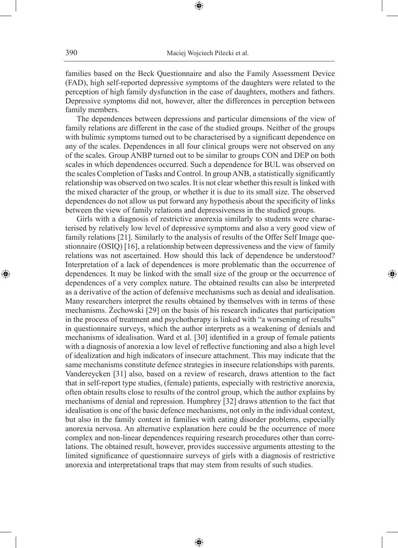⊕

families based on the Beck Questionnaire and also the Family Assessment Device (FAD), high self-reported depressive symptoms of the daughters were related to the perception of high family dysfunction in the case of daughters, mothers and fathers. Depressive symptoms did not, however, alter the differences in perception between family members.

The dependences between depressions and particular dimensions of the view of family relations are different in the case of the studied groups. Neither of the groups with bulimic symptoms turned out to be characterised by a significant dependence on any of the scales. Dependences in all four clinical groups were not observed on any of the scales. Group ANBP turned out to be similar to groups CON and DEP on both scales in which dependences occurred. Such a dependence for BUL was observed on the scales Completion of Tasks and Control. In group ANB, a statistically significantly relationship was observed on two scales. It is not clear whether this result is linked with the mixed character of the group, or whether it is due to its small size. The observed dependences do not allow us put forward any hypothesis about the specificity of links between the view of family relations and depressiveness in the studied groups.

Girls with a diagnosis of restrictive anorexia similarly to students were characterised by relatively low level of depressive symptoms and also a very good view of family relations [21]. Similarly to the analysis of results of the Offer Self Image questionnaire (OSIQ) [16], a relationship between depressiveness and the view of family relations was not ascertained. How should this lack of dependence be understood? Interpretation of a lack of dependences is more problematic than the occurrence of dependences. It may be linked with the small size of the group or the occurrence of dependences of a very complex nature. The obtained results can also be interpreted as a derivative of the action of defensive mechanisms such as denial and idealisation. Many researchers interpret the results obtained by themselves with in terms of these mechanisms. Żechowski [29] on the basis of his research indicates that participation in the process of treatment and psychotherapy is linked with "a worsening of results" in questionnaire surveys, which the author interprets as a weakening of denials and mechanisms of idealisation. Ward et al. [30] identified in a group of female patients with a diagnosis of anorexia a low level of reflective functioning and also a high level of idealization and high indicators of insecure attachment. This may indicate that the same mechanisms constitute defence strategies in insecure relationships with parents. Vandereycken [31] also, based on a review of research, draws attention to the fact that in self-report type studies, (female) patients, especially with restrictive anorexia, often obtain results close to results of the control group, which the author explains by mechanisms of denial and repression. Humphrey [32] draws attention to the fact that idealisation is one of the basic defence mechanisms, not only in the individual context, but also in the family context in families with eating disorder problems, especially anorexia nervosa. An alternative explanation here could be the occurrence of more complex and non-linear dependences requiring research procedures other than correlations. The obtained result, however, provides successive arguments attesting to the limited significance of questionnaire surveys of girls with a diagnosis of restrictive anorexia and interpretational traps that may stem from results of such studies.

⊕

◈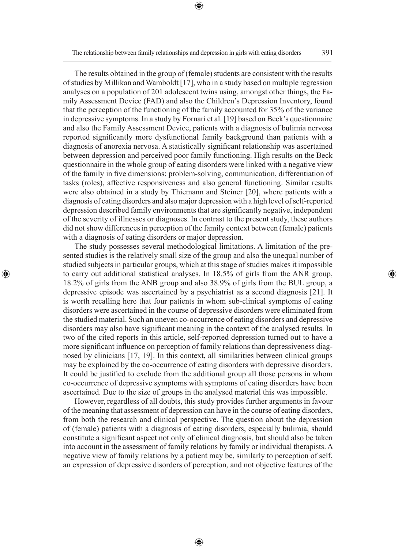⊕

The results obtained in the group of (female) students are consistent with the results of studies by Millikan and Wamboldt [17], who in a study based on multiple regression analyses on a population of 201 adolescent twins using, amongst other things, the Family Assessment Device (FAD) and also the Children's Depression Inventory, found that the perception of the functioning of the family accounted for 35% of the variance in depressive symptoms. In a study by Fornari et al. [19] based on Beck's questionnaire and also the Family Assessment Device, patients with a diagnosis of bulimia nervosa reported significantly more dysfunctional family background than patients with a diagnosis of anorexia nervosa. A statistically significant relationship was ascertained between depression and perceived poor family functioning. High results on the Beck questionnaire in the whole group of eating disorders were linked with a negative view of the family in five dimensions: problem-solving, communication, differentiation of tasks (roles), affective responsiveness and also general functioning. Similar results were also obtained in a study by Thiemann and Steiner [20], where patients with a

diagnosis of eating disorders and also major depression with a high level of self-reported depression described family environments that are significantly negative, independent of the severity of illnesses or diagnoses. In contrast to the present study, these authors did not show differences in perception of the family context between (female) patients with a diagnosis of eating disorders or major depression.

The study possesses several methodological limitations. A limitation of the presented studies is the relatively small size of the group and also the unequal number of studied subjects in particular groups, which at this stage of studies makes it impossible to carry out additional statistical analyses. In 18.5% of girls from the ANR group, 18.2% of girls from the ANB group and also 38.9% of girls from the BUL group, a depressive episode was ascertained by a psychiatrist as a second diagnosis [21]. It is worth recalling here that four patients in whom sub-clinical symptoms of eating disorders were ascertained in the course of depressive disorders were eliminated from the studied material. Such an uneven co-occurrence of eating disorders and depressive disorders may also have significant meaning in the context of the analysed results. In two of the cited reports in this article, self-reported depression turned out to have a more significant influence on perception of family relations than depressiveness diagnosed by clinicians [17, 19]. In this context, all similarities between clinical groups may be explained by the co-occurrence of eating disorders with depressive disorders. It could be justified to exclude from the additional group all those persons in whom co-occurrence of depressive symptoms with symptoms of eating disorders have been ascertained. Due to the size of groups in the analysed material this was impossible.

◈

However, regardless of all doubts, this study provides further arguments in favour of the meaning that assessment of depression can have in the course of eating disorders, from both the research and clinical perspective. The question about the depression of (female) patients with a diagnosis of eating disorders, especially bulimia, should constitute a significant aspect not only of clinical diagnosis, but should also be taken into account in the assessment of family relations by family or individual therapists. A negative view of family relations by a patient may be, similarly to perception of self, an expression of depressive disorders of perception, and not objective features of the

⊕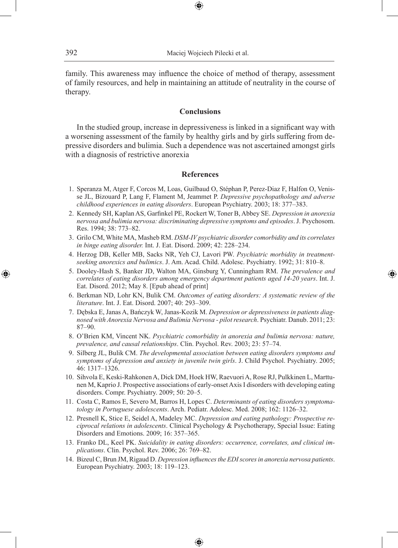family. This awareness may influence the choice of method of therapy, assessment of family resources, and help in maintaining an attitude of neutrality in the course of therapy.

⊕

### **Conclusions**

In the studied group, increase in depressiveness is linked in a significant way with a worsening assessment of the family by healthy girls and by girls suffering from depressive disorders and bulimia. Such a dependence was not ascertained amongst girls with a diagnosis of restrictive anorexia

#### **References**

- 1. Speranza M, Atger F, Corcos M, Loas, Guilbaud O, Stéphan P, Perez-Diaz F, Halfon O, Venisse JL, Bizouard P, Lang F, Flament M, Jeammet P. *Depressive psychopathology and adverse childhood experiences in eating disorders*. European Psychiatry. 2003; 18: 377–383.
- 2. Kennedy SH, Kaplan AS, Garfinkel PE, Rockert W, Toner B, Abbey SE. *Depression in anorexia nervosa and bulimia nervosa: discriminating depressive symptoms and episodes*. J. Psychosom. Res. 1994; 38: 773–82.
- 3. Grilo CM, White MA, Masheb RM. *DSM-IV psychiatric disorder comorbidity and its correlates in binge eating disorder.* Int. J. Eat. Disord. 2009; 42: 228–234.
- 4. Herzog DB, Keller MB, Sacks NR, Yeh CJ, Lavori PW. *Psychiatric morbidity in treatmentseeking anorexics and bulimics*. J. Am. Acad. Child. Adolesc. Psychiatry. 1992; 31: 810–8.
- 5. Dooley-Hash S, Banker JD, Walton MA, Ginsburg Y, Cunningham RM. *The prevalence and correlates of eating disorders among emergency department patients aged 14-20 years*. Int. J. Eat. Disord. 2012; May 8. [Epub ahead of print]

◈

- 6. Berkman ND, Lohr KN, Bulik CM. *Outcomes of eating disorders: A systematic review of the literature*. Int. J. Eat. Disord. 2007; 40: 293–309.
- 7. Dębska E, Janas A, Bańczyk W, Janas-Kozik M. *Depression or depressiveness in patients diagnosed with Anorexia Nervosa and Bulimia Nervosa - pilot research*. Psychiatr. Danub. 2011; 23: 87–90.
- 8. O'Brien KM, Vincent NK. *Psychiatric comorbidity in anorexia and bulimia nervosa: nature, prevalence, and causal relationships*. Clin. Psychol. Rev. 2003; 23: 57–74.
- 9. Silberg JL, Bulik CM. *The developmental association between eating disorders symptoms and symptoms of depression and anxiety in juvenile twin girls*. J. Child Psychol. Psychiatry. 2005; 46: 1317–1326.
- 10. Sihvola E, Keski-Rahkonen A, Dick DM, Hoek HW, Raevuori A, Rose RJ, Pulkkinen L, Marttunen M, Kaprio J. Prospective associations of early-onset Axis I disorders with developing eating disorders. Compr. Psychiatry. 2009; 50: 20–5.
- 11. Costa C, Ramos E, Severo M, Barros H, Lopes C. *Determinants of eating disorders symptomatology in Portuguese adolescents*. Arch. Pediatr. Adolesc. Med. 2008; 162: 1126–32.
- 12. Presnell K, Stice E, Seidel A, Madeley MC. *Depression and eating pathology: Prospective reciprocal relations in adolescents*. Clinical Psychology & Psychotherapy, Special Issue: Eating Disorders and Emotions. 2009; 16: 357–365.
- 13. Franko DL, Keel PK. *Suicidality in eating disorders: occurrence, correlates, and clinical implications*. Clin. Psychol. Rev. 2006; 26: 769–82.
- 14. Bizeul C, Brun JM, Rigaud D. *Depression influences the EDI scores in anorexia nervosa patients*. European Psychiatry. 2003; 18: 119–123.

⊕